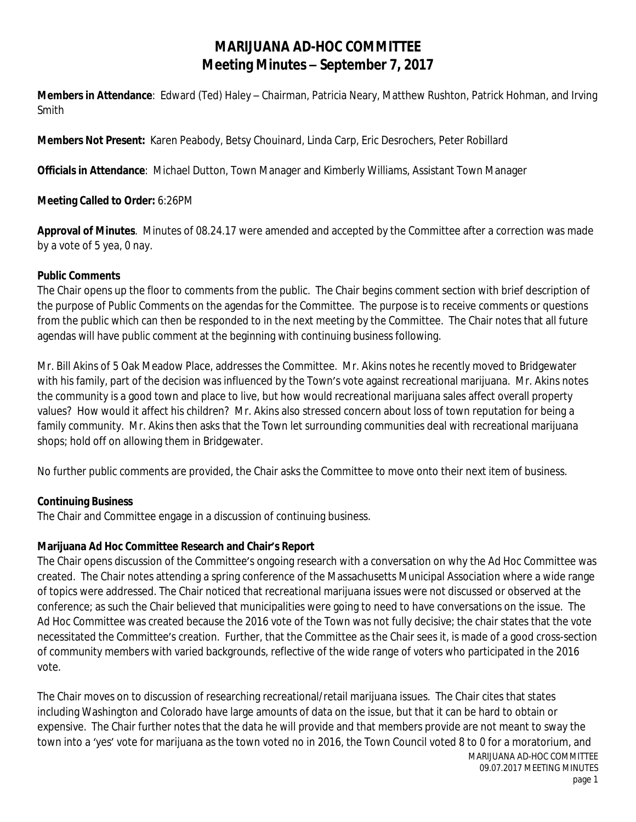## **MARIJUANA AD-HOC COMMITTEE Meeting Minutes – September 7, 2017**

**Members in Attendance**: Edward (Ted) Haley – Chairman, Patricia Neary, Matthew Rushton, Patrick Hohman, and Irving Smith

**Members Not Present:** Karen Peabody, Betsy Chouinard, Linda Carp, Eric Desrochers, Peter Robillard

**Officials in Attendance**: Michael Dutton, Town Manager and Kimberly Williams, Assistant Town Manager

**Meeting Called to Order:** 6:26PM

**Approval of Minutes**. Minutes of 08.24.17 were amended and accepted by the Committee after a correction was made by a vote of 5 yea, 0 nay.

## **Public Comments**

The Chair opens up the floor to comments from the public. The Chair begins comment section with brief description of the purpose of Public Comments on the agendas for the Committee. The purpose is to receive comments or questions from the public which can then be responded to in the next meeting by the Committee. The Chair notes that all future agendas will have public comment at the beginning with continuing business following.

Mr. Bill Akins of 5 Oak Meadow Place, addresses the Committee. Mr. Akins notes he recently moved to Bridgewater with his family, part of the decision was influenced by the Town's vote against recreational marijuana. Mr. Akins notes the community is a good town and place to live, but how would recreational marijuana sales affect overall property values? How would it affect his children? Mr. Akins also stressed concern about loss of town reputation for being a family community. Mr. Akins then asks that the Town let surrounding communities deal with recreational marijuana shops; hold off on allowing them in Bridgewater.

No further public comments are provided, the Chair asks the Committee to move onto their next item of business.

## **Continuing Business**

The Chair and Committee engage in a discussion of continuing business.

## **Marijuana Ad Hoc Committee Research and Chair's Report**

The Chair opens discussion of the Committee's ongoing research with a conversation on why the Ad Hoc Committee was created. The Chair notes attending a spring conference of the Massachusetts Municipal Association where a wide range of topics were addressed. The Chair noticed that recreational marijuana issues were not discussed or observed at the conference; as such the Chair believed that municipalities were going to need to have conversations on the issue. The Ad Hoc Committee was created because the 2016 vote of the Town was not fully decisive; the chair states that the vote necessitated the Committee's creation. Further, that the Committee as the Chair sees it, is made of a good cross-section of community members with varied backgrounds, reflective of the wide range of voters who participated in the 2016 vote.

The Chair moves on to discussion of researching recreational/retail marijuana issues. The Chair cites that states including Washington and Colorado have large amounts of data on the issue, but that it can be hard to obtain or expensive. The Chair further notes that the data he will provide and that members provide are not meant to sway the town into a 'yes' vote for marijuana as the town voted no in 2016, the Town Council voted 8 to 0 for a moratorium, and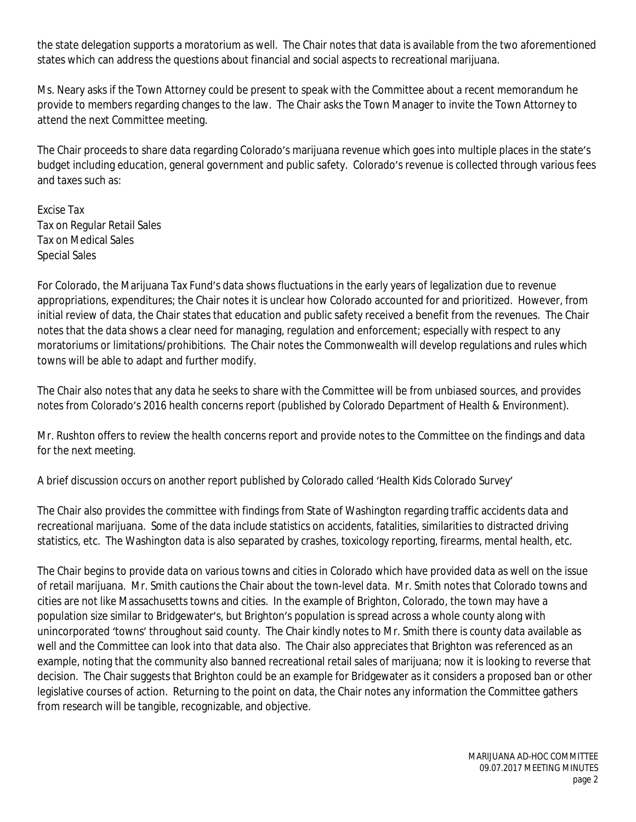the state delegation supports a moratorium as well. The Chair notes that data is available from the two aforementioned states which can address the questions about financial and social aspects to recreational marijuana.

Ms. Neary asks if the Town Attorney could be present to speak with the Committee about a recent memorandum he provide to members regarding changes to the law. The Chair asks the Town Manager to invite the Town Attorney to attend the next Committee meeting.

The Chair proceeds to share data regarding Colorado's marijuana revenue which goes into multiple places in the state's budget including education, general government and public safety. Colorado's revenue is collected through various fees and taxes such as:

Excise Tax Tax on Regular Retail Sales Tax on Medical Sales Special Sales

For Colorado, the Marijuana Tax Fund's data shows fluctuations in the early years of legalization due to revenue appropriations, expenditures; the Chair notes it is unclear how Colorado accounted for and prioritized. However, from initial review of data, the Chair states that education and public safety received a benefit from the revenues. The Chair notes that the data shows a clear need for managing, regulation and enforcement; especially with respect to any moratoriums or limitations/prohibitions. The Chair notes the Commonwealth will develop regulations and rules which towns will be able to adapt and further modify.

The Chair also notes that any data he seeks to share with the Committee will be from unbiased sources, and provides notes from Colorado's 2016 health concerns report (published by Colorado Department of Health & Environment).

Mr. Rushton offers to review the health concerns report and provide notes to the Committee on the findings and data for the next meeting.

A brief discussion occurs on another report published by Colorado called 'Health Kids Colorado Survey'

The Chair also provides the committee with findings from State of Washington regarding traffic accidents data and recreational marijuana. Some of the data include statistics on accidents, fatalities, similarities to distracted driving statistics, etc. The Washington data is also separated by crashes, toxicology reporting, firearms, mental health, etc.

The Chair begins to provide data on various towns and cities in Colorado which have provided data as well on the issue of retail marijuana. Mr. Smith cautions the Chair about the town-level data. Mr. Smith notes that Colorado towns and cities are not like Massachusetts towns and cities. In the example of Brighton, Colorado, the town may have a population size similar to Bridgewater's, but Brighton's population is spread across a whole county along with unincorporated 'towns' throughout said county. The Chair kindly notes to Mr. Smith there is county data available as well and the Committee can look into that data also. The Chair also appreciates that Brighton was referenced as an example, noting that the community also banned recreational retail sales of marijuana; now it is looking to reverse that decision. The Chair suggests that Brighton could be an example for Bridgewater as it considers a proposed ban or other legislative courses of action. Returning to the point on data, the Chair notes any information the Committee gathers from research will be tangible, recognizable, and objective.